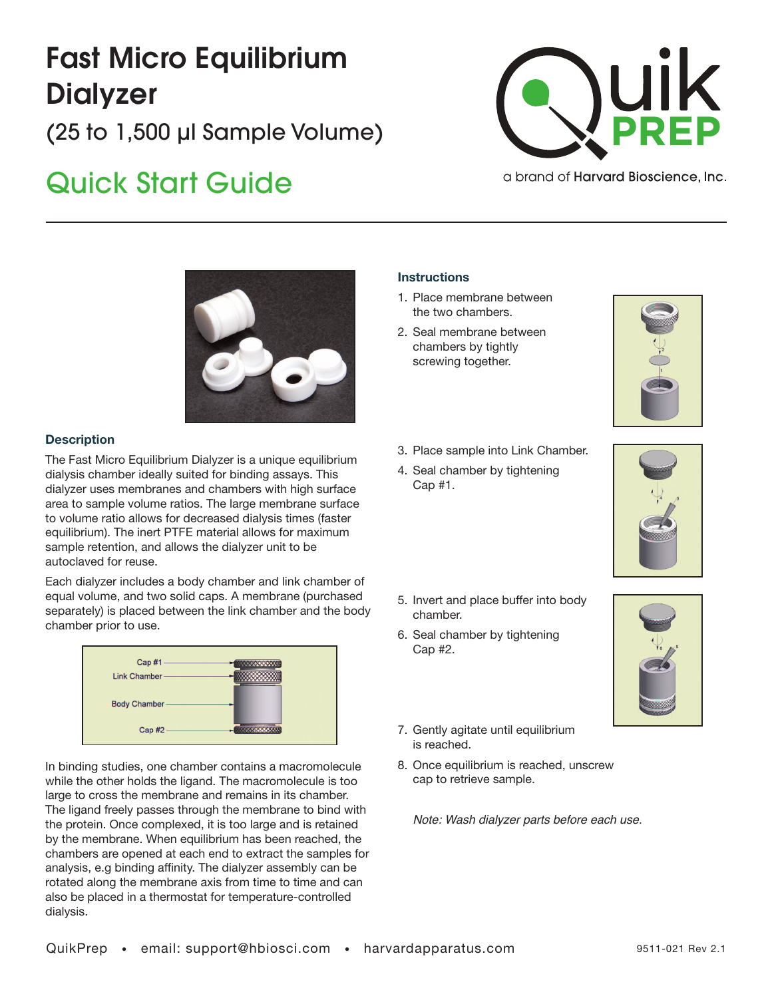# Fast Micro Equilibrium **Dialyzer**

(25 to 1,500 µl Sample Volume)

## Quick Start Guide



a brand of **Harvard Bioscience**, Inc.



### **Description**

The Fast Micro Equilibrium Dialyzer is a unique equilibrium dialysis chamber ideally suited for binding assays. This dialyzer uses membranes and chambers with high surface area to sample volume ratios. The large membrane surface to volume ratio allows for decreased dialysis times (faster equilibrium). The inert PTFE material allows for maximum sample retention, and allows the dialyzer unit to be autoclaved for reuse.

Each dialyzer includes a body chamber and link chamber of equal volume, and two solid caps. A membrane (purchased separately) is placed between the link chamber and the body chamber prior to use.

| Cap #1              |  |
|---------------------|--|
| Link Chamber-       |  |
| <b>Body Chamber</b> |  |
| Cap #2              |  |

In binding studies, one chamber contains a macromolecule while the other holds the ligand. The macromolecule is too large to cross the membrane and remains in its chamber. The ligand freely passes through the membrane to bind with the protein. Once complexed, it is too large and is retained by the membrane. When equilibrium has been reached, the chambers are opened at each end to extract the samples for analysis, e.g binding affinity. The dialyzer assembly can be rotated along the membrane axis from time to time and can also be placed in a thermostat for temperature-controlled dialysis.

#### **Instructions**

- 1. Place membrane between the two chambers.
- 2. Seal membrane between chambers by tightly screwing together.



- 3. Place sample into Link Chamber.
- 4. Seal chamber by tightening Cap #1.



- 5. Invert and place buffer into body chamber.
- 6. Seal chamber by tightening Cap #2.



- 7. Gently agitate until equilibrium is reached.
- 8. Once equilibrium is reached, unscrew cap to retrieve sample.

*Note: Wash dialyzer parts before each use.*